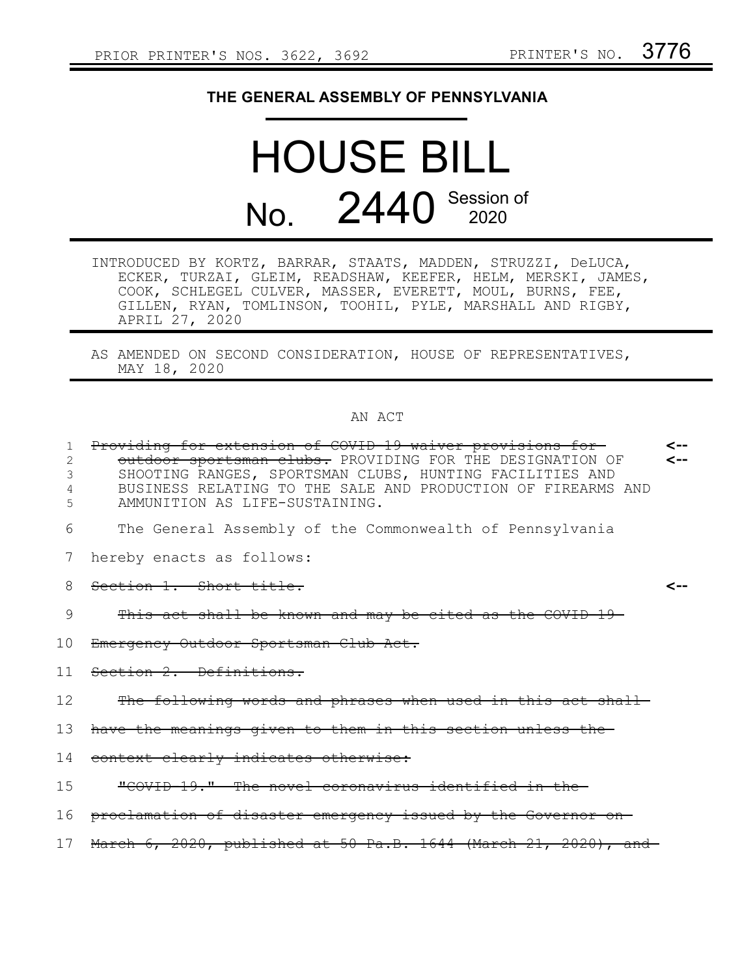## **THE GENERAL ASSEMBLY OF PENNSYLVANIA**

## HOUSE BILL No. 2440 Session of

- INTRODUCED BY KORTZ, BARRAR, STAATS, MADDEN, STRUZZI, DeLUCA, ECKER, TURZAI, GLEIM, READSHAW, KEEFER, HELM, MERSKI, JAMES, COOK, SCHLEGEL CULVER, MASSER, EVERETT, MOUL, BURNS, FEE, GILLEN, RYAN, TOMLINSON, TOOHIL, PYLE, MARSHALL AND RIGBY, APRIL 27, 2020
- AS AMENDED ON SECOND CONSIDERATION, HOUSE OF REPRESENTATIVES, MAY 18, 2020

## AN ACT

| 1<br>2<br>3<br>5 | Providing for extension of COVID 19 waiver provisions for<br>outdoor sportsman clubs. PROVIDING FOR THE DESIGNATION OF<br>SHOOTING RANGES, SPORTSMAN CLUBS, HUNTING FACILITIES AND<br>BUSINESS RELATING TO THE SALE AND PRODUCTION OF FIREARMS AND<br>AMMUNITION AS LIFE-SUSTAINING. | <--<br>⊂-- |
|------------------|--------------------------------------------------------------------------------------------------------------------------------------------------------------------------------------------------------------------------------------------------------------------------------------|------------|
| 6                | The General Assembly of the Commonwealth of Pennsylvania                                                                                                                                                                                                                             |            |
| 7                | hereby enacts as follows:                                                                                                                                                                                                                                                            |            |
| 8                | Section 1. Short title.                                                                                                                                                                                                                                                              |            |
| 9                | This act shall be known and may be cited as the COVID-19-                                                                                                                                                                                                                            |            |
| 10               | Emergency Outdoor Sportsman Club Act.                                                                                                                                                                                                                                                |            |
| 11               | Section 2. Definitions.                                                                                                                                                                                                                                                              |            |
| 12               | The following words and phrases when used in this act shall                                                                                                                                                                                                                          |            |
| 13               | have the meanings given to them in this section unless the                                                                                                                                                                                                                           |            |
| 14               | context clearly indicates otherwise:                                                                                                                                                                                                                                                 |            |
| 15               | "COVID 19." The novel coronavirus identified in the-                                                                                                                                                                                                                                 |            |
| 16               | proclamation of disaster emergency issued by the Governor on-                                                                                                                                                                                                                        |            |
| 17               | March $6, 2020,$ published at 50 Pa.B. 1644 (March 21, 2020), and                                                                                                                                                                                                                    |            |
|                  |                                                                                                                                                                                                                                                                                      |            |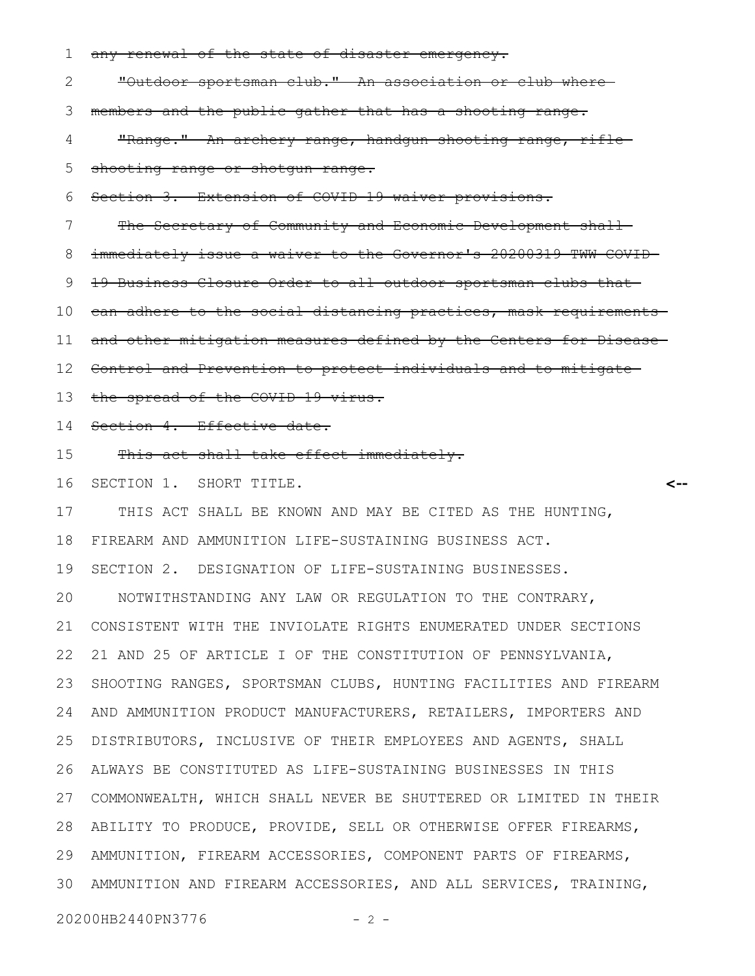any renewal of the state of disaster emergency. "Outdoor sportsman club." An association or club where members and the public gather that has a shooting range. "Range." An archery range, handgun shooting range, rifleshooting range or shotgun range. Section 3. Extension of COVID-19 waiver provisions. The Secretary of Community and Economic Development shallimmediately issue a waiver to the Governor's 20200319 TWW COVID-19 Business Closure Order to all outdoor sportsman clubs that can adhere to the social distancing practices, mask requirements and other mitigation measures defined by the Centers for Disease Control and Prevention to protect individuals and to mitigate the spread of the COVID-19 virus. Section 4. Effective date. This act shall take effect immediately. SECTION 1. SHORT TITLE. THIS ACT SHALL BE KNOWN AND MAY BE CITED AS THE HUNTING, FIREARM AND AMMUNITION LIFE-SUSTAINING BUSINESS ACT. SECTION 2. DESIGNATION OF LIFE-SUSTAINING BUSINESSES. NOTWITHSTANDING ANY LAW OR REGULATION TO THE CONTRARY, CONSISTENT WITH THE INVIOLATE RIGHTS ENUMERATED UNDER SECTIONS 21 AND 25 OF ARTICLE I OF THE CONSTITUTION OF PENNSYLVANIA, **<--** 1 2 3 4 5 6 7 8 9 10 11 12 13 14 15 16 17 18 19 20 21 22

SHOOTING RANGES, SPORTSMAN CLUBS, HUNTING FACILITIES AND FIREARM AND AMMUNITION PRODUCT MANUFACTURERS, RETAILERS, IMPORTERS AND DISTRIBUTORS, INCLUSIVE OF THEIR EMPLOYEES AND AGENTS, SHALL ALWAYS BE CONSTITUTED AS LIFE-SUSTAINING BUSINESSES IN THIS COMMONWEALTH, WHICH SHALL NEVER BE SHUTTERED OR LIMITED IN THEIR 27 ABILITY TO PRODUCE, PROVIDE, SELL OR OTHERWISE OFFER FIREARMS, AMMUNITION, FIREARM ACCESSORIES, COMPONENT PARTS OF FIREARMS, AMMUNITION AND FIREARM ACCESSORIES, AND ALL SERVICES, TRAINING, 3023 24 25 26 28 29

20200HB2440PN3776 - 2 -